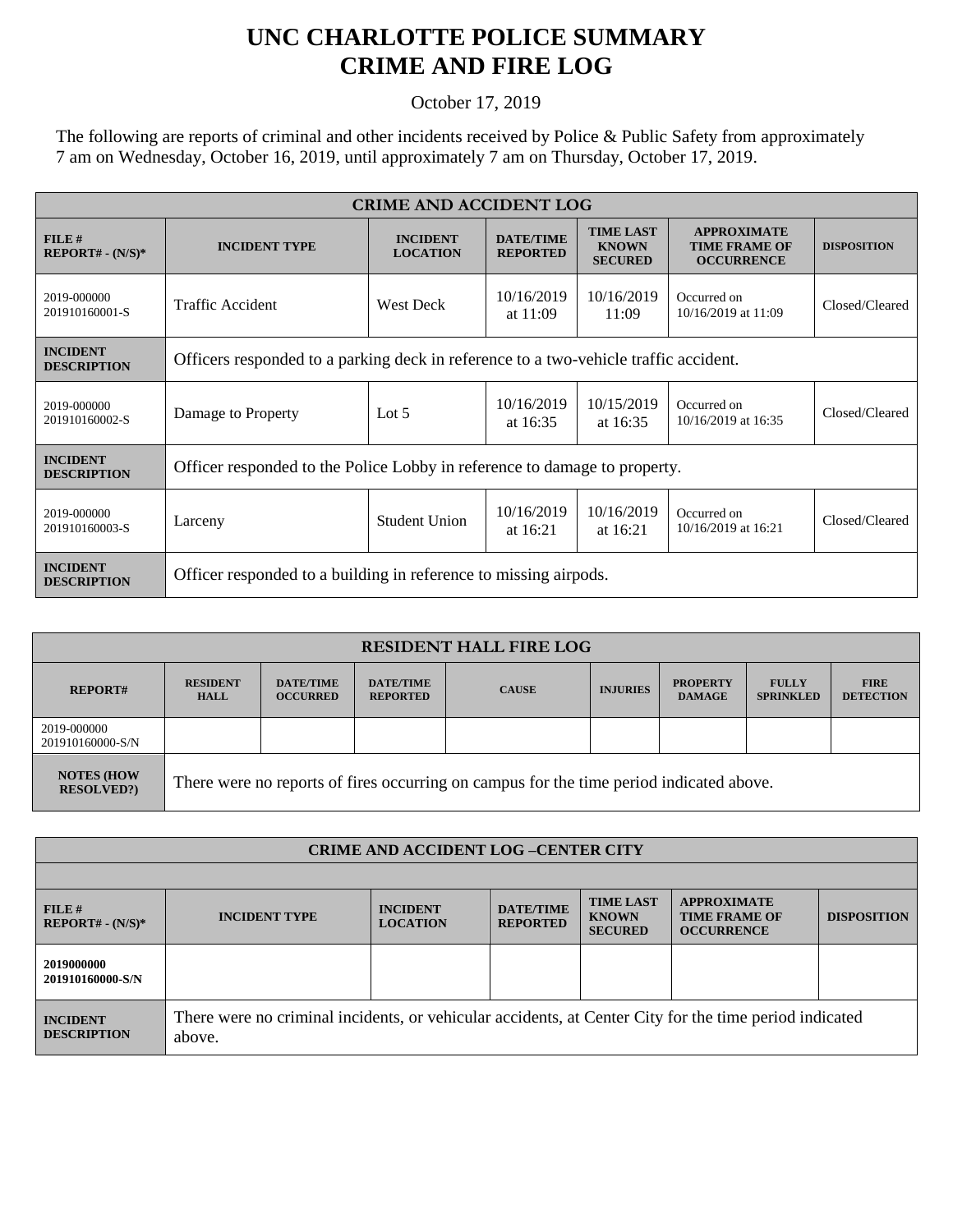## **UNC CHARLOTTE POLICE SUMMARY CRIME AND FIRE LOG**

October 17, 2019

The following are reports of criminal and other incidents received by Police & Public Safety from approximately 7 am on Wednesday, October 16, 2019, until approximately 7 am on Thursday, October 17, 2019.

| <b>CRIME AND ACCIDENT LOG</b>         |                                                                                      |                                    |                                     |                                                    |                                                                 |                    |  |
|---------------------------------------|--------------------------------------------------------------------------------------|------------------------------------|-------------------------------------|----------------------------------------------------|-----------------------------------------------------------------|--------------------|--|
| FILE#<br>$REPORT# - (N/S)*$           | <b>INCIDENT TYPE</b>                                                                 | <b>INCIDENT</b><br><b>LOCATION</b> | <b>DATE/TIME</b><br><b>REPORTED</b> | <b>TIME LAST</b><br><b>KNOWN</b><br><b>SECURED</b> | <b>APPROXIMATE</b><br><b>TIME FRAME OF</b><br><b>OCCURRENCE</b> | <b>DISPOSITION</b> |  |
| 2019-000000<br>201910160001-S         | Traffic Accident                                                                     | West Deck                          | 10/16/2019<br>at $11:09$            | 10/16/2019<br>11:09                                | Occurred on<br>10/16/2019 at 11:09                              | Closed/Cleared     |  |
| <b>INCIDENT</b><br><b>DESCRIPTION</b> | Officers responded to a parking deck in reference to a two-vehicle traffic accident. |                                    |                                     |                                                    |                                                                 |                    |  |
| 2019-000000<br>201910160002-S         | Damage to Property                                                                   | Lot $5$                            | 10/16/2019<br>at $16:35$            | 10/15/2019<br>at $16:35$                           | Occurred on<br>10/16/2019 at 16:35                              | Closed/Cleared     |  |
| <b>INCIDENT</b><br><b>DESCRIPTION</b> | Officer responded to the Police Lobby in reference to damage to property.            |                                    |                                     |                                                    |                                                                 |                    |  |
| 2019-000000<br>201910160003-S         | Larceny                                                                              | Student Union                      | 10/16/2019<br>at $16:21$            | 10/16/2019<br>at $16:21$                           | Occurred on<br>10/16/2019 at 16:21                              | Closed/Cleared     |  |
| <b>INCIDENT</b><br><b>DESCRIPTION</b> | Officer responded to a building in reference to missing airpods.                     |                                    |                                     |                                                    |                                                                 |                    |  |

| <b>RESIDENT HALL FIRE LOG</b>           |                                                                                         |                                     |                                     |              |                 |                                  |                                  |                                 |
|-----------------------------------------|-----------------------------------------------------------------------------------------|-------------------------------------|-------------------------------------|--------------|-----------------|----------------------------------|----------------------------------|---------------------------------|
| <b>REPORT#</b>                          | <b>RESIDENT</b><br><b>HALL</b>                                                          | <b>DATE/TIME</b><br><b>OCCURRED</b> | <b>DATE/TIME</b><br><b>REPORTED</b> | <b>CAUSE</b> | <b>INJURIES</b> | <b>PROPERTY</b><br><b>DAMAGE</b> | <b>FULLY</b><br><b>SPRINKLED</b> | <b>FIRE</b><br><b>DETECTION</b> |
| 2019-000000<br>201910160000-S/N         |                                                                                         |                                     |                                     |              |                 |                                  |                                  |                                 |
| <b>NOTES (HOW)</b><br><b>RESOLVED?)</b> | There were no reports of fires occurring on campus for the time period indicated above. |                                     |                                     |              |                 |                                  |                                  |                                 |

| <b>CRIME AND ACCIDENT LOG-CENTER CITY</b> |                                                                                                                  |                                    |                                     |                                                    |                                                                 |                    |  |
|-------------------------------------------|------------------------------------------------------------------------------------------------------------------|------------------------------------|-------------------------------------|----------------------------------------------------|-----------------------------------------------------------------|--------------------|--|
|                                           |                                                                                                                  |                                    |                                     |                                                    |                                                                 |                    |  |
| FILE#<br>$REPORT# - (N/S)*$               | <b>INCIDENT TYPE</b>                                                                                             | <b>INCIDENT</b><br><b>LOCATION</b> | <b>DATE/TIME</b><br><b>REPORTED</b> | <b>TIME LAST</b><br><b>KNOWN</b><br><b>SECURED</b> | <b>APPROXIMATE</b><br><b>TIME FRAME OF</b><br><b>OCCURRENCE</b> | <b>DISPOSITION</b> |  |
| 2019000000<br>201910160000-S/N            |                                                                                                                  |                                    |                                     |                                                    |                                                                 |                    |  |
| <b>INCIDENT</b><br><b>DESCRIPTION</b>     | There were no criminal incidents, or vehicular accidents, at Center City for the time period indicated<br>above. |                                    |                                     |                                                    |                                                                 |                    |  |